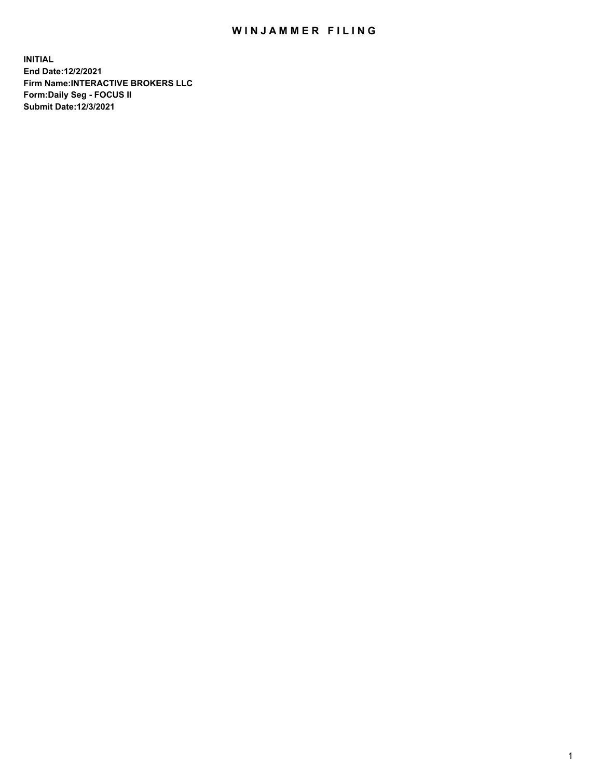## WIN JAMMER FILING

**INITIAL End Date:12/2/2021 Firm Name:INTERACTIVE BROKERS LLC Form:Daily Seg - FOCUS II Submit Date:12/3/2021**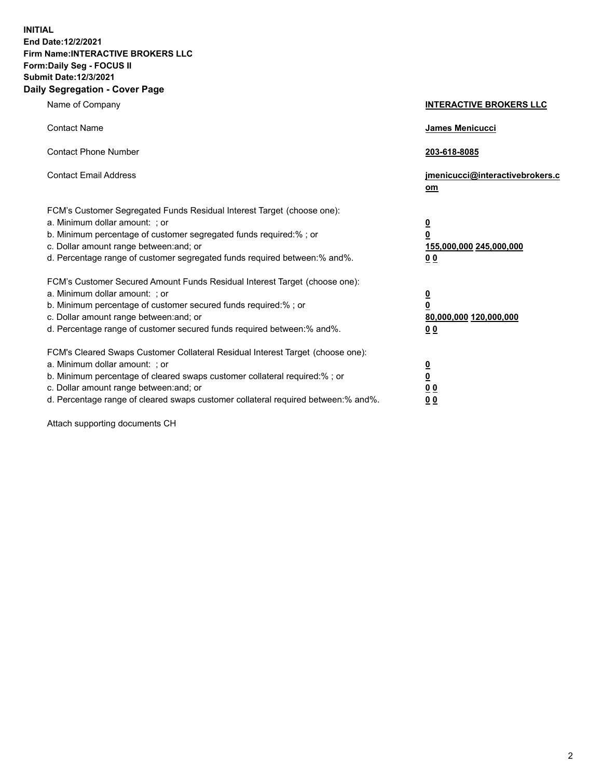**INITIAL End Date:12/2/2021 Firm Name:INTERACTIVE BROKERS LLC Form:Daily Seg - FOCUS II Submit Date:12/3/2021 Daily Segregation - Cover Page**

| Name of Company                                                                                                                                                                                                                                                                                                                | <b>INTERACTIVE BROKERS LLC</b>                                                                  |  |
|--------------------------------------------------------------------------------------------------------------------------------------------------------------------------------------------------------------------------------------------------------------------------------------------------------------------------------|-------------------------------------------------------------------------------------------------|--|
| <b>Contact Name</b>                                                                                                                                                                                                                                                                                                            | James Menicucci                                                                                 |  |
| <b>Contact Phone Number</b>                                                                                                                                                                                                                                                                                                    | 203-618-8085                                                                                    |  |
| <b>Contact Email Address</b>                                                                                                                                                                                                                                                                                                   | jmenicucci@interactivebrokers.c<br>om                                                           |  |
| FCM's Customer Segregated Funds Residual Interest Target (choose one):<br>a. Minimum dollar amount: ; or<br>b. Minimum percentage of customer segregated funds required:% ; or<br>c. Dollar amount range between: and; or<br>d. Percentage range of customer segregated funds required between: % and %.                       | $\overline{\mathbf{0}}$<br>$\overline{\mathbf{0}}$<br>155,000,000 245,000,000<br>0 <sub>0</sub> |  |
| FCM's Customer Secured Amount Funds Residual Interest Target (choose one):<br>a. Minimum dollar amount: ; or<br>b. Minimum percentage of customer secured funds required:% ; or<br>c. Dollar amount range between: and; or<br>d. Percentage range of customer secured funds required between:% and%.                           | $\overline{\mathbf{0}}$<br>$\overline{\mathbf{0}}$<br>80,000,000 120,000,000<br>0 <sub>0</sub>  |  |
| FCM's Cleared Swaps Customer Collateral Residual Interest Target (choose one):<br>a. Minimum dollar amount: ; or<br>b. Minimum percentage of cleared swaps customer collateral required:% ; or<br>c. Dollar amount range between: and; or<br>d. Percentage range of cleared swaps customer collateral required between:% and%. | $\overline{\mathbf{0}}$<br><u>0</u><br>0 <sub>0</sub><br>00                                     |  |

Attach supporting documents CH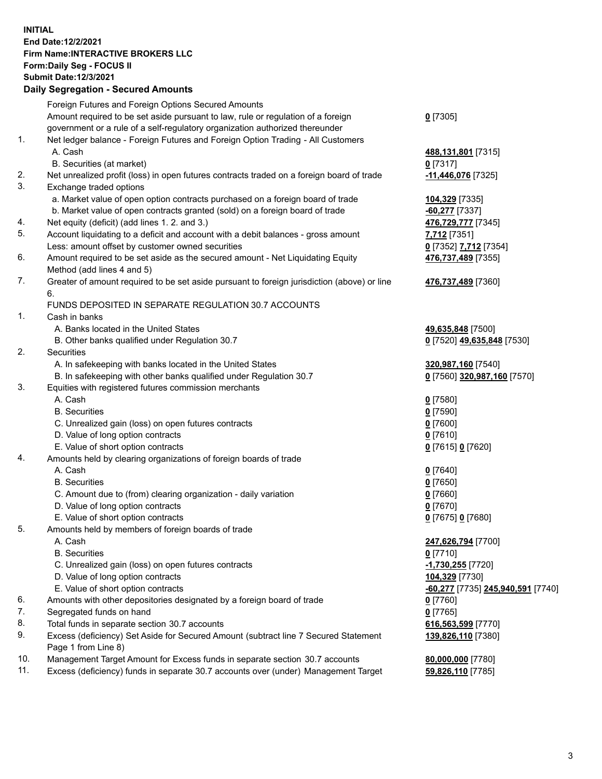**INITIAL End Date:12/2/2021 Firm Name:INTERACTIVE BROKERS LLC Form:Daily Seg - FOCUS II Submit Date:12/3/2021 Daily Segregation - Secured Amounts**

## Foreign Futures and Foreign Options Secured Amounts Amount required to be set aside pursuant to law, rule or regulation of a foreign government or a rule of a self-regulatory organization authorized thereunder **0** [7305] 1. Net ledger balance - Foreign Futures and Foreign Option Trading - All Customers A. Cash **488,131,801** [7315] B. Securities (at market) **0** [7317] 2. Net unrealized profit (loss) in open futures contracts traded on a foreign board of trade **-11,446,076** [7325] 3. Exchange traded options a. Market value of open option contracts purchased on a foreign board of trade **104,329** [7335] b. Market value of open contracts granted (sold) on a foreign board of trade **-60,277** [7337] 4. Net equity (deficit) (add lines 1. 2. and 3.) **476,729,777** [7345] 5. Account liquidating to a deficit and account with a debit balances - gross amount **7,712** [7351] Less: amount offset by customer owned securities **0** [7352] **7,712** [7354] 6. Amount required to be set aside as the secured amount - Net Liquidating Equity Method (add lines 4 and 5) **476,737,489** [7355] 7. Greater of amount required to be set aside pursuant to foreign jurisdiction (above) or line 6. **476,737,489** [7360] FUNDS DEPOSITED IN SEPARATE REGULATION 30.7 ACCOUNTS 1. Cash in banks A. Banks located in the United States **49,635,848** [7500] B. Other banks qualified under Regulation 30.7 **0** [7520] **49,635,848** [7530] 2. Securities A. In safekeeping with banks located in the United States **320,987,160** [7540] B. In safekeeping with other banks qualified under Regulation 30.7 **0** [7560] **320,987,160** [7570] 3. Equities with registered futures commission merchants A. Cash **0** [7580] B. Securities **0** [7590] C. Unrealized gain (loss) on open futures contracts **0** [7600] D. Value of long option contracts **0** [7610] E. Value of short option contracts **0** [7615] **0** [7620] 4. Amounts held by clearing organizations of foreign boards of trade A. Cash **0** [7640] B. Securities **0** [7650] C. Amount due to (from) clearing organization - daily variation **0** [7660] D. Value of long option contracts **0** [7670] E. Value of short option contracts **0** [7675] **0** [7680] 5. Amounts held by members of foreign boards of trade A. Cash **247,626,794** [7700] B. Securities **0** [7710] C. Unrealized gain (loss) on open futures contracts **-1,730,255** [7720] D. Value of long option contracts **104,329** [7730] E. Value of short option contracts **-60,277** [7735] **245,940,591** [7740] 6. Amounts with other depositories designated by a foreign board of trade **0** [7760] 7. Segregated funds on hand **0** [7765] 8. Total funds in separate section 30.7 accounts **616,563,599** [7770] 9. Excess (deficiency) Set Aside for Secured Amount (subtract line 7 Secured Statement Page 1 from Line 8) **139,826,110** [7380] 10. Management Target Amount for Excess funds in separate section 30.7 accounts **80,000,000** [7780] 11. Excess (deficiency) funds in separate 30.7 accounts over (under) Management Target **59,826,110** [7785]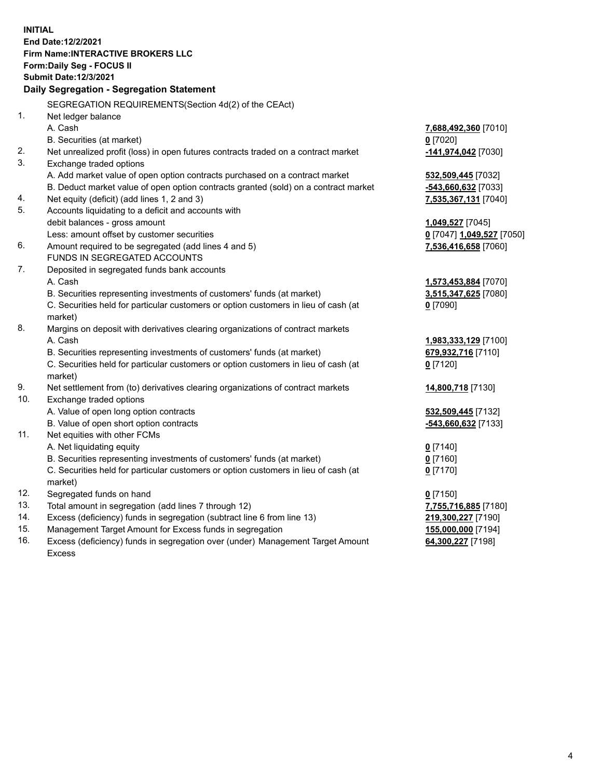**INITIAL End Date:12/2/2021 Firm Name:INTERACTIVE BROKERS LLC Form:Daily Seg - FOCUS II Submit Date:12/3/2021 Daily Segregation - Segregation Statement** SEGREGATION REQUIREMENTS(Section 4d(2) of the CEAct) 1. Net ledger balance A. Cash **7,688,492,360** [7010] B. Securities (at market) **0** [7020] 2. Net unrealized profit (loss) in open futures contracts traded on a contract market **-141,974,042** [7030] 3. Exchange traded options A. Add market value of open option contracts purchased on a contract market **532,509,445** [7032] B. Deduct market value of open option contracts granted (sold) on a contract market **-543,660,632** [7033] 4. Net equity (deficit) (add lines 1, 2 and 3) **7,535,367,131** [7040] 5. Accounts liquidating to a deficit and accounts with debit balances - gross amount **1,049,527** [7045] Less: amount offset by customer securities **0** [7047] **1,049,527** [7050] 6. Amount required to be segregated (add lines 4 and 5) **7,536,416,658** [7060] FUNDS IN SEGREGATED ACCOUNTS 7. Deposited in segregated funds bank accounts A. Cash **1,573,453,884** [7070] B. Securities representing investments of customers' funds (at market) **3,515,347,625** [7080] C. Securities held for particular customers or option customers in lieu of cash (at market) **0** [7090] 8. Margins on deposit with derivatives clearing organizations of contract markets A. Cash **1,983,333,129** [7100] B. Securities representing investments of customers' funds (at market) **679,932,716** [7110] C. Securities held for particular customers or option customers in lieu of cash (at market) **0** [7120] 9. Net settlement from (to) derivatives clearing organizations of contract markets **14,800,718** [7130] 10. Exchange traded options A. Value of open long option contracts **532,509,445** [7132] B. Value of open short option contracts **-543,660,632** [7133] 11. Net equities with other FCMs A. Net liquidating equity **0** [7140] B. Securities representing investments of customers' funds (at market) **0** [7160] C. Securities held for particular customers or option customers in lieu of cash (at market) **0** [7170] 12. Segregated funds on hand **0** [7150] 13. Total amount in segregation (add lines 7 through 12) **7,755,716,885** [7180] 14. Excess (deficiency) funds in segregation (subtract line 6 from line 13) **219,300,227** [7190] 15. Management Target Amount for Excess funds in segregation **155,000,000** [7194] 16. Excess (deficiency) funds in segregation over (under) Management Target Amount **64,300,227** [7198]

Excess